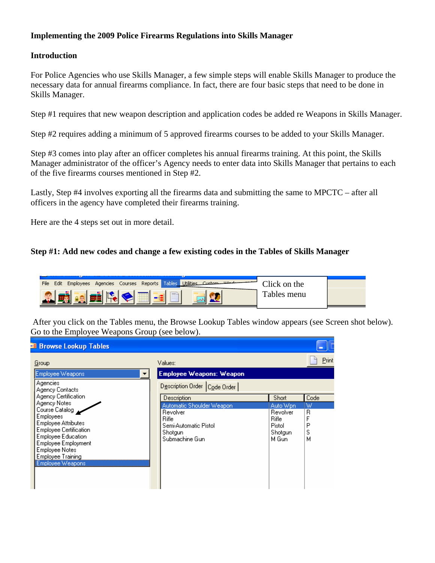# **Implementing the 2009 Police Firearms Regulations into Skills Manager**

#### **Introduction**

For Police Agencies who use Skills Manager, a few simple steps will enable Skills Manager to produce the necessary data for annual firearms compliance. In fact, there are four basic steps that need to be done in Skills Manager.

Step #1 requires that new weapon description and application codes be added re Weapons in Skills Manager.

Step #2 requires adding a minimum of 5 approved firearms courses to be added to your Skills Manager.

Step #3 comes into play after an officer completes his annual firearms training. At this point, the Skills Manager administrator of the officer's Agency needs to enter data into Skills Manager that pertains to each of the five firearms courses mentioned in Step #2.

Lastly, Step #4 involves exporting all the firearms data and submitting the same to MPCTC – after all officers in the agency have completed their firearms training.

Here are the 4 steps set out in more detail.

# **Step #1: Add new codes and change a few existing codes in the Tables of Skills Manager**



 After you click on the Tables menu, the Browse Lookup Tables window appears (see Screen shot below). Go to the Employee Weapons Group (see below).

| <b>Browse Lookup Tables</b>                                                                                                                                                                                                                                                        |                                                                                                                     |                                                                       |                                    |
|------------------------------------------------------------------------------------------------------------------------------------------------------------------------------------------------------------------------------------------------------------------------------------|---------------------------------------------------------------------------------------------------------------------|-----------------------------------------------------------------------|------------------------------------|
| Group                                                                                                                                                                                                                                                                              | Values:                                                                                                             |                                                                       | Print                              |
| Employee Weapons<br>Agencies                                                                                                                                                                                                                                                       | <b>Employee Weapons: Weapon</b><br>Description Order   Code Order                                                   |                                                                       |                                    |
| Agency Contacts<br>Agency Certification<br>Agency Notes<br>Course Catalog<br><b>Employees</b><br><b>Employee Attributes</b><br><b>Employee Certification</b><br><b>Employee Education</b><br>Employee Employment<br><b>Employee Notes</b><br>Employee Training<br>Employee Weapons | Description<br>Automatic Shoulder Weapon<br>Revolver<br>Rifle<br>Semi-Automatic Pistol<br>Shotgun<br>Submachine Gun | Short<br>Auto Wpn<br>Revolver<br>Rifle<br>Pistol<br>Shotaun<br>M Gun. | Code<br>W<br>R<br>F<br>P<br>S<br>м |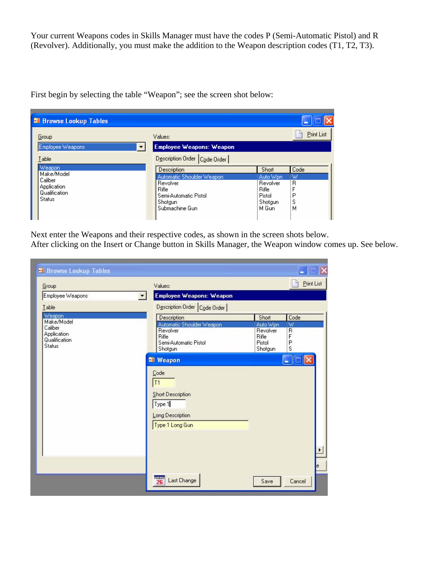Your current Weapons codes in Skills Manager must have the codes P (Semi-Automatic Pistol) and R (Revolver). Additionally, you must make the addition to the Weapon description codes (T1, T2, T3).

First begin by selecting the table "Weapon"; see the screen shot below:

| <b>E Browse Lookup Tables</b> |                                  |                   |            |
|-------------------------------|----------------------------------|-------------------|------------|
| Group                         | Values:                          |                   | Print List |
| Employee Weapons              | <b>Employee Weapons: Weapon</b>  |                   |            |
| `able:                        | Description Order   Code Order   |                   |            |
| Weapon<br>Make/Model          | Description                      | Short             | Code       |
| Caliber                       | Automatic Shoulder Weapon        | Auto Wpn          | W          |
| Application                   | Revolver                         | Revolver          | R          |
| Qualification                 | Rifle                            | <b>Rifle</b>      |            |
| . Status                      | Semi-Automatic Pistol<br>Shotgun | Pistol<br>Shotgun | Ρ<br>s     |
|                               | Submachine Gun                   | M Gun             | м          |
|                               |                                  |                   |            |

Next enter the Weapons and their respective codes, as shown in the screen shots below.

After clicking on the Insert or Change button in Skills Manager, the Weapon window comes up. See below.

| Group                                          | Values:                                                                  |                                        | Print List                       |
|------------------------------------------------|--------------------------------------------------------------------------|----------------------------------------|----------------------------------|
| Employee Weapons                               | Employee Weapons: Weapon                                                 |                                        |                                  |
| Table                                          | Description Order Code Order                                             |                                        |                                  |
| Weapon<br>Make/Model<br>Caliber<br>Application | Description<br>Automatic Shoulder Weapon<br>Revolver<br>Rifle            | Short<br>Auto Wpn<br>Revolver<br>Rifle | Code<br>W<br>$\overline{R}$<br>F |
| Qualification<br>Status                        | Semi-Automatic Pistol<br>Shotgun<br><b>Neapon</b>                        | Pistol<br>Shotgun                      | P<br>S                           |
|                                                | T1<br>Short Description<br>Type 1<br>Long Description<br>Type 1 Long Gun |                                        | ٠<br>le                          |
|                                                | FRIDAY<br>26<br>Last Change                                              | Save                                   | Cancel                           |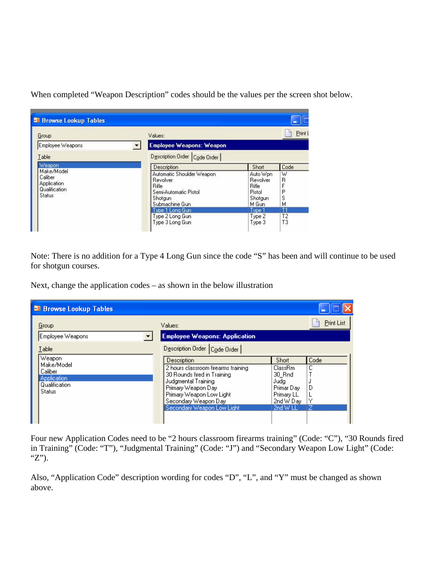**Browse Lookup Tables** ٣ **Print L** Group Values: **Employee Weapons: Weapon** Employee Weapons  $\blacktriangledown$ Description Order Code Order Iable Weapon Description Short Code Make/Model Automatic Shoulder Weapon Auto Wpn W Caliber Revolver Revolver R Application F **Rifle** Rifle Qualification Semi-Automatic Pistol<br>Shotgun Pistol  $\overline{P}$ Status  $\dot{s}$ Shotgun Submachine Gun M. M Gun Type 1 Long Gun Type 1 Τ1 Type 2 Long Gun Type 2 T<sub>2</sub> Type 3 Long Gun Type 3 T<sub>3</sub>

When completed "Weapon Description" codes should be the values per the screen shot below.

Note: There is no addition for a Type 4 Long Gun since the code "S" has been and will continue to be used for shotgun courses.

Next, change the application codes – as shown in the below illustration

| <b>El Browse Lookup Tables</b>                                                            |                                                                                                                                                                                                                                                      |                                                                                                |                     |
|-------------------------------------------------------------------------------------------|------------------------------------------------------------------------------------------------------------------------------------------------------------------------------------------------------------------------------------------------------|------------------------------------------------------------------------------------------------|---------------------|
| Group<br>Employee Weapons                                                                 | Values:<br><b>Employee Weapons: Application</b>                                                                                                                                                                                                      |                                                                                                | Print List          |
| Table<br>Weapon<br>Make/Model<br>Caliber<br><b>Application</b><br>Qualification<br>Status | Description Order   Code Order  <br>Description<br>2 hours classroom firearms training<br>30 Rounds fired in Training<br>Judgmental Training<br>Primary Weapon Day<br>Primary Weapon Low Light<br>Secondary Weapon Day<br>Secondary Weapon Low Light | <b>Short</b><br>ClassRm<br>30 Rnd<br>Judg<br>Primar Day<br>Primary LL<br>2nd W Day<br>2nd W LL | Code<br>с<br>D<br>z |

Four new Application Codes need to be "2 hours classroom firearms training" (Code: "C"), "30 Rounds fired in Training" (Code: "T"), "Judgmental Training" (Code: "J") and "Secondary Weapon Low Light" (Code: "Z").

Also, "Application Code" description wording for codes "D", "L", and "Y" must be changed as shown above.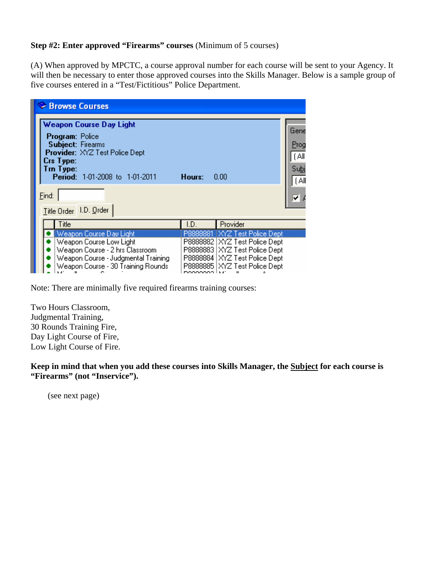#### **Step #2: Enter approved "Firearms" courses** (Minimum of 5 courses)

(A) When approved by MPCTC, a course approval number for each course will be sent to your Agency. It will then be necessary to enter those approved courses into the Skills Manager. Below is a sample group of five courses entered in a "Test/Fictitious" Police Department.

| Browse Courses                                                                                                                                                                     |                                        |                                                                                                                                                                           |                                               |
|------------------------------------------------------------------------------------------------------------------------------------------------------------------------------------|----------------------------------------|---------------------------------------------------------------------------------------------------------------------------------------------------------------------------|-----------------------------------------------|
| <b>Weapon Course Day Light</b><br><b>Program: Police</b><br><b>Subject: Firearms</b><br>Provider: XYZ Test Police Dept<br>Crs Type:<br>Trn Type:<br>Period: 1-01-2008 to 1-01-2011 | Hours:                                 | 0.00                                                                                                                                                                      | Gene<br>Prog<br>[All<br>Su <u>b</u> j<br>[Al] |
| Eind:<br>Title Order   I.D. Order                                                                                                                                                  |                                        |                                                                                                                                                                           |                                               |
| Title                                                                                                                                                                              | I.D.                                   | Provider                                                                                                                                                                  |                                               |
| Weapon Course Day Light<br>Weapon Course Low Light<br>Weapon Course - 2 hrs Classroom<br>Weapon Course - Judgmental Training<br>Weapon Course - 30 Training Rounds                 | P8888881<br>P8888882<br>DOOOOOO LLJ' - | <b>IXYZ Test Police Dept</b><br>XYZ Test Police Dept<br>P8888883 XYZ Test Police Dept<br>P8888884 XYZ Test Police Dept<br>P8888885   XYZ Test Police Dept<br>$\mathbf{u}$ |                                               |

Note: There are minimally five required firearms training courses:

Two Hours Classroom, Judgmental Training, 30 Rounds Training Fire, Day Light Course of Fire, Low Light Course of Fire.

**Keep in mind that when you add these courses into Skills Manager, the Subject for each course is "Firearms" (not "Inservice").** 

(see next page)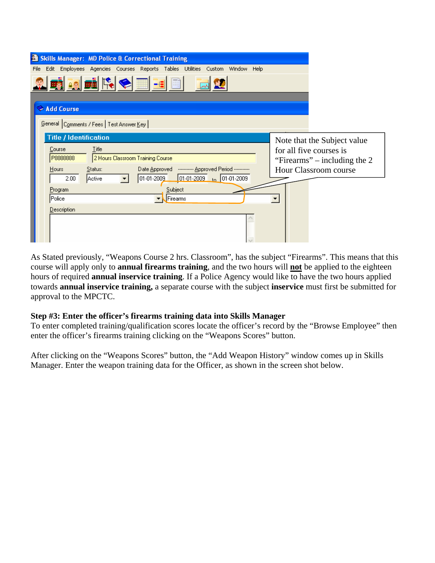| <b>Skills Manager: MD Police &amp; Correctional Training</b><br>劃                                                                      |                                                           |
|----------------------------------------------------------------------------------------------------------------------------------------|-----------------------------------------------------------|
| Edit Employees Agencies Courses Reports Tables Utilities Custom Window Help<br>File                                                    |                                                           |
| <b>EN EN ROLL</b>                                                                                                                      |                                                           |
| Add Course                                                                                                                             |                                                           |
| General Comments / Fees   Test Answer Key                                                                                              |                                                           |
| <b>Title / Identification</b>                                                                                                          | Note that the Subject value                               |
| <b>Title</b><br>Course<br>P8888888<br>2 Hours Classroom Training Course                                                                | for all five courses is<br>"Firearms" – including the $2$ |
| Date Approved -  Approved Period<br>Hours<br>Status:<br>$\boxed{01-01-2009}$ to $\boxed{01-01-2009}$<br>$01-01-2009$<br>Active<br>2.00 | Hour Classroom course                                     |
| Subject<br>Program<br>Firearms<br> Police                                                                                              |                                                           |
| Description                                                                                                                            |                                                           |
|                                                                                                                                        |                                                           |

As Stated previously, "Weapons Course 2 hrs. Classroom", has the subject "Firearms". This means that this course will apply only to **annual firearms training**, and the two hours will **not** be applied to the eighteen hours of required **annual inservice training**. If a Police Agency would like to have the two hours applied towards **annual inservice training,** a separate course with the subject **inservice** must first be submitted for approval to the MPCTC.

# **Step #3: Enter the officer's firearms training data into Skills Manager**

To enter completed training/qualification scores locate the officer's record by the "Browse Employee" then enter the officer's firearms training clicking on the "Weapons Scores" button.

After clicking on the "Weapons Scores" button, the "Add Weapon History" window comes up in Skills Manager. Enter the weapon training data for the Officer, as shown in the screen shot below.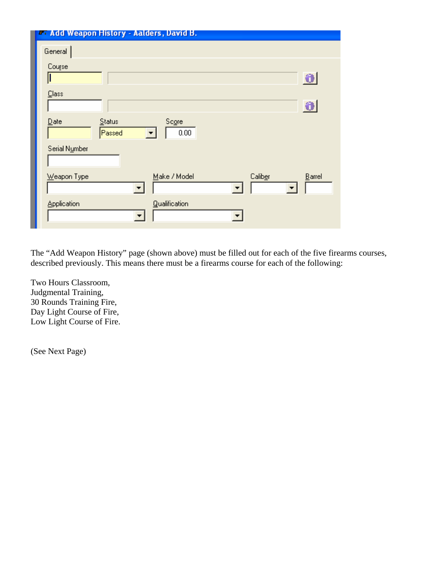| <b>Add Weapon History - Aalders, David B.</b>                                |           |
|------------------------------------------------------------------------------|-----------|
| General                                                                      |           |
| Course                                                                       | €         |
| Class                                                                        | €         |
| $\mathbf{\underline{D}}$ ate<br>Status<br>Score<br>Passed<br>0.00            |           |
| Serial Number                                                                |           |
| Make / Model<br>Weapon Type<br>Caliber<br>▼<br>$\overline{\phantom{a}}$<br>▼ | $B$ arrel |
| Application<br><b>Qualification</b>                                          |           |

The "Add Weapon History" page (shown above) must be filled out for each of the five firearms courses, described previously. This means there must be a firearms course for each of the following:

Two Hours Classroom, Judgmental Training, 30 Rounds Training Fire, Day Light Course of Fire, Low Light Course of Fire.

(See Next Page)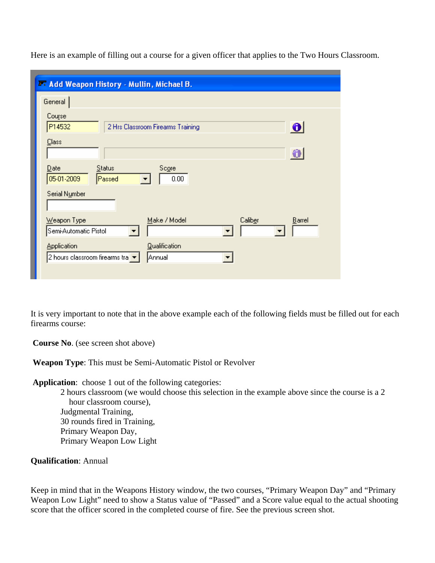| General                                                        |                                   |         |           |
|----------------------------------------------------------------|-----------------------------------|---------|-----------|
| Course<br>P14532                                               | 2 Hrs Classroom Firearms Training |         | $\bullet$ |
| Class                                                          |                                   |         | 0         |
| Status<br>$\mathbf{\underline{D}}$ ate<br>05-01-2009<br>Passed | Score<br>0.00                     |         |           |
| Serial Number                                                  |                                   |         |           |
| Weapon Type<br>Semi-Automatic Pistol                           | Make / Model                      | Caliber | Barrel    |
| <b>Application</b>                                             | <b>Qualification</b>              |         |           |

Here is an example of filling out a course for a given officer that applies to the Two Hours Classroom.

It is very important to note that in the above example each of the following fields must be filled out for each firearms course:

**Course No**. (see screen shot above)

**Weapon Type**: This must be Semi-Automatic Pistol or Revolver

**Application**: choose 1 out of the following categories:

 2 hours classroom (we would choose this selection in the example above since the course is a 2 hour classroom course), Judgmental Training, 30 rounds fired in Training, Primary Weapon Day, Primary Weapon Low Light

#### **Qualification**: Annual

Keep in mind that in the Weapons History window, the two courses, "Primary Weapon Day" and "Primary Weapon Low Light" need to show a Status value of "Passed" and a Score value equal to the actual shooting score that the officer scored in the completed course of fire. See the previous screen shot.